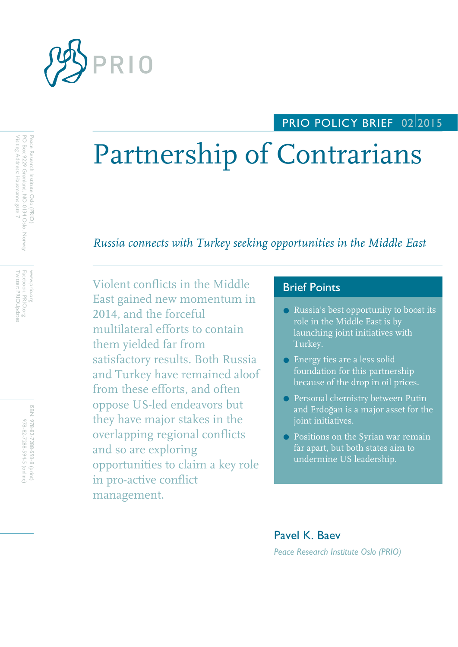

## PRIO POLICY BRIEF 02 2015

# Partnership of Contrarians

*Russia connects with Turkey seeking opportunities in the Middle East*

Violent conflicts in the Middle East gained new momentum in 2014, and the forceful multilateral efforts to contain them yielded far from satisfactory results. Both Russia and Turkey have remained aloof from these efforts, and often oppose US-led endeavors but they have major stakes in the overlapping regional conflicts and so are exploring opportunities to claim a key role in pro-active conflict management.

## Brief Points

- Russia's best opportunity to boost its role in the Middle East is by launching joint initiatives with Turkey.
- **Energy ties are a less solid** foundation for this partnership because of the drop in oil prices.
- **Personal chemistry between Putin** and Erdoğan is a major asset for the joint initiatives.
- **•** Positions on the Syrian war remain far apart, but both states aim to undermine US leadership.

## Pavel K. Baev *Peace Research Institute Oslo (PRIO)*

Peace Research Institute Oslo (PRIO)<br>PO Box 9229 Grønland, NO-0134 Oslo, Norway Visiting Address: Hausmanns gate 7 Visiting Address: Hausmanns gate 7 PO Box 9229 Grønland, NO Peace Research Institute Oslo (PRIO) -0134 Oslo, Norway

Facebook: PRIO.org<br>Twitter: PRIOUpdate Twitter: PRIOUpdates www.prio.org<br>www. www.prio.org Facebook: PRIO.org

> ISBN: 978-82-7288-593-8 (print) ISBN: 978-82-7288-593-8 978-82-7288-594-5 (online 978-82-7288-594-5 (online)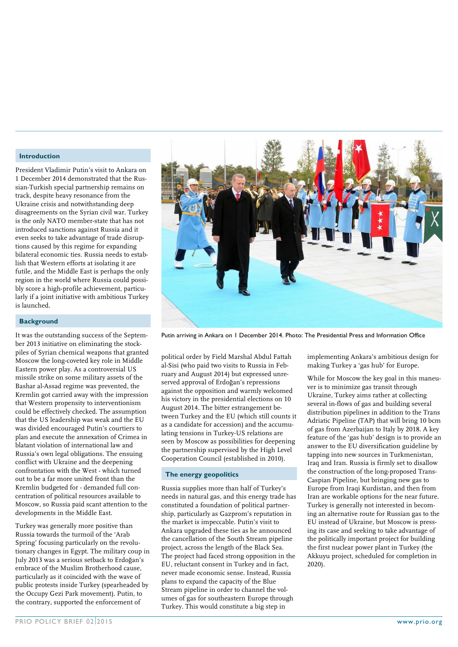#### **Introduction**

President Vladimir Putin's visit to Ankara on 1 December 2014 demonstrated that the Russian-Turkish special partnership remains on track, despite heavy resonance from the Ukraine crisis and notwithstanding deep disagreements on the Syrian civil war. Turkey is the only NATO member-state that has not introduced sanctions against Russia and it even seeks to take advantage of trade disruptions caused by this regime for expanding bilateral economic ties. Russia needs to establish that Western efforts at isolating it are futile, and the Middle East is perhaps the only region in the world where Russia could possibly score a high-profile achievement, particularly if a joint initiative with ambitious Turkey is launched.

#### **Background**

It was the outstanding success of the September 2013 initiative on eliminating the stockpiles of Syrian chemical weapons that granted Moscow the long-coveted key role in Middle Eastern power play. As a controversial US missile strike on some military assets of the Bashar al-Assad regime was prevented, the Kremlin got carried away with the impression that Western propensity to interventionism could be effectively checked. The assumption that the US leadership was weak and the EU was divided encouraged Putin's courtiers to plan and execute the annexation of Crimea in blatant violation of international law and Russia's own legal obligations. The ensuing conflict with Ukraine and the deepening confrontation with the West - which turned out to be a far more united front than the Kremlin budgeted for - demanded full concentration of political resources available to Moscow, so Russia paid scant attention to the developments in the Middle East.

Turkey was generally more positive than Russia towards the turmoil of the 'Arab Spring' focusing particularly on the revolutionary changes in Egypt. The military coup in July 2013 was a serious setback to Erdoğan's embrace of the Muslim Brotherhood cause, particularly as it coincided with the wave of public protests inside Turkey (spearheaded by the Occupy Gezi Park movement). Putin, to the contrary, supported the enforcement of



Putin arriving in Ankara on 1 December 2014. Photo: The Presidential Press and Information Office

political order by Field Marshal Abdul Fattah al-Sisi (who paid two visits to Russia in February and August 2014) but expressed unreserved approval of Erdoğan's repressions against the opposition and warmly welcomed his victory in the presidential elections on 10 August 2014. The bitter estrangement between Turkey and the EU (which still counts it as a candidate for accession) and the accumulating tensions in Turkey-US relations are seen by Moscow as possibilities for deepening the partnership supervised by the High Level Cooperation Council (established in 2010).

#### **The energy geopolitics**

Russia supplies more than half of Turkey's needs in natural gas, and this energy trade has constituted a foundation of political partnership, particularly as Gazprom's reputation in the market is impeccable. Putin's visit to Ankara upgraded these ties as he announced the cancellation of the South Stream pipeline project, across the length of the Black Sea. The project had faced strong opposition in the EU, reluctant consent in Turkey and in fact, never made economic sense. Instead, Russia plans to expand the capacity of the Blue Stream pipeline in order to channel the volumes of gas for southeastern Europe through Turkey. This would constitute a big step in

implementing Ankara's ambitious design for making Turkey a 'gas hub' for Europe.

While for Moscow the key goal in this maneuver is to minimize gas transit through Ukraine, Turkey aims rather at collecting several in-flows of gas and building several distribution pipelines in addition to the Trans Adriatic Pipeline (TAP) that will bring 10 bcm of gas from Azerbaijan to Italy by 2018. A key feature of the 'gas hub' design is to provide an answer to the EU diversification guideline by tapping into new sources in Turkmenistan, Iraq and Iran. Russia is firmly set to disallow the construction of the long-proposed Trans-Caspian Pipeline, but bringing new gas to Europe from Iraqi Kurdistan, and then from Iran are workable options for the near future. Turkey is generally not interested in becoming an alternative route for Russian gas to the EU instead of Ukraine, but Moscow is pressing its case and seeking to take advantage of the politically important project for building the first nuclear power plant in Turkey (the Akkuyu project, scheduled for completion in 2020).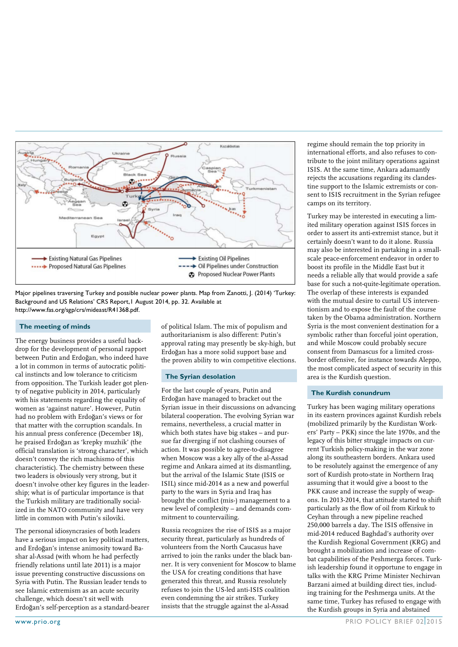

Major pipelines traversing Turkey and possible nuclear power plants. Map from Zanotti, J. (2014) 'Turkey: Background and US Relations' CRS Report,1 August 2014, pp. 32. Available at http://www.fas.org/sgp/crs/mideast/R41368.pdf.

#### **The meeting of minds**

The energy business provides a useful backdrop for the development of personal rapport between Putin and Erdoğan, who indeed have a lot in common in terms of autocratic political instincts and low tolerance to criticism from opposition. The Turkish leader got plenty of negative publicity in 2014, particularly with his statements regarding the equality of women as 'against nature'. However, Putin had no problem with Erdoğan's views or for that matter with the corruption scandals. In his annual press conference (December 18), he praised Erdoğan as 'krepky muzhik' (the official translation is 'strong character', which doesn't convey the rich machismo of this characteristic). The chemistry between these two leaders is obviously very strong, but it doesn't involve other key figures in the leadership; what is of particular importance is that the Turkish military are traditionally socialized in the NATO community and have very little in common with Putin's siloviki.

The personal idiosyncrasies of both leaders have a serious impact on key political matters, and Erdoğan's intense animosity toward Bashar al-Assad (with whom he had perfectly friendly relations until late 2011) is a major issue preventing constructive discussions on Syria with Putin. The Russian leader tends to see Islamic extremism as an acute security challenge, which doesn't sit well with Erdoğan's self-perception as a standard-bearer of political Islam. The mix of populism and authoritarianism is also different: Putin's approval rating may presently be sky-high, but Erdoğan has a more solid support base and the proven ability to win competitive elections.

#### **The Syrian desolation**

For the last couple of years, Putin and Erdoğan have managed to bracket out the Syrian issue in their discussions on advancing bilateral cooperation. The evolving Syrian war remains, nevertheless, a crucial matter in which both states have big stakes – and pursue far diverging if not clashing courses of action. It was possible to agree-to-disagree when Moscow was a key ally of the al-Assad regime and Ankara aimed at its dismantling, but the arrival of the Islamic State (ISIS or ISIL) since mid-2014 as a new and powerful party to the wars in Syria and Iraq has brought the conflict (mis-) management to a new level of complexity – and demands commitment to countervailing.

Russia recognizes the rise of ISIS as a major security threat, particularly as hundreds of volunteers from the North Caucasus have arrived to join the ranks under the black banner. It is very convenient for Moscow to blame the USA for creating conditions that have generated this threat, and Russia resolutely refuses to join the US-led anti-ISIS coalition even condemning the air strikes. Turkey insists that the struggle against the al-Assad

regime should remain the top priority in international efforts, and also refuses to contribute to the joint military operations against ISIS. At the same time, Ankara adamantly rejects the accusations regarding its clandestine support to the Islamic extremists or consent to ISIS recruitment in the Syrian refugee camps on its territory.

Turkey may be interested in executing a limited military operation against ISIS forces in order to assert its anti-extremist stance, but it certainly doesn't want to do it alone. Russia may also be interested in partaking in a smallscale peace-enforcement endeavor in order to boost its profile in the Middle East but it needs a reliable ally that would provide a safe base for such a not-quite-legitimate operation. The overlap of these interests is expanded with the mutual desire to curtail US interventionism and to expose the fault of the course taken by the Obama administration. Northern Syria is the most convenient destination for a symbolic rather than forceful joint operation, and while Moscow could probably secure consent from Damascus for a limited crossborder offensive, for instance towards Aleppo, the most complicated aspect of security in this area is the Kurdish question.

#### **The Kurdish conundrum**

Turkey has been waging military operations in its eastern provinces against Kurdish rebels (mobilized primarily by the Kurdistan Workers' Party – PKK) since the late 1970s, and the legacy of this bitter struggle impacts on current Turkish policy-making in the war zone along its southeastern borders. Ankara used to be resolutely against the emergence of any sort of Kurdish proto-state in Northern Iraq assuming that it would give a boost to the PKK cause and increase the supply of weapons. In 2013-2014, that attitude started to shift particularly as the flow of oil from Kirkuk to Ceyhan through a new pipeline reached 250,000 barrels a day. The ISIS offensive in mid-2014 reduced Baghdad's authority over the Kurdish Regional Government (KRG) and brought a mobilization and increase of combat capabilities of the Peshmerga forces. Turkish leadership found it opportune to engage in talks with the KRG Prime Minister Nechirvan Barzani aimed at building direct ties, including training for the Peshmerga units. At the same time, Turkey has refused to engage with the Kurdish groups in Syria and abstained